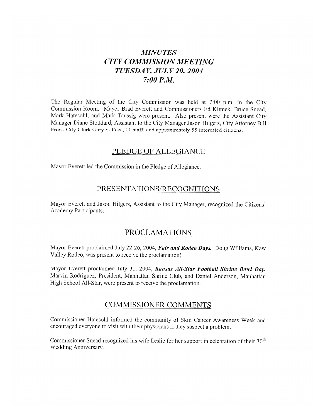# **MINUTES CITY COMMISSION MEETING** TUESDAY, JULY 20, 2004  $7:00 P.M.$

The Regular Meeting of the City Commission was held at 7:00 p.m. in the City Commission Room. Mayor Brad Everett and Commissioners Ed Klimek, Bruce Snead, Mark Hatesohl, and Mark Taussig were present. Also present were the Assistant City Manager Diane Stoddard, Assistant to the City Manager Jason Hilgers, City Attorney Bill Frost, City Clerk Gary S. Fees, 11 staff, and approximately 55 interested citizens.

#### PLEDGE OF ALLEGIANCE

Mayor Everett led the Commission in the Pledge of Allegiance.

# PRESENTATIONS/RECOGNITIONS

Mayor Everett and Jason Hilgers, Assistant to the City Manager, recognized the Citizens' Academy Participants.

# **PROCLAMATIONS**

Mayor Everett proclaimed July 22-26, 2004, Fair and Rodeo Days. Doug Williams, Kaw Valley Rodeo, was present to receive the proclamation)

Mayor Everett proclaimed July 31, 2004, Kansas All-Star Football Shrine Bowl Day. Marvin Rodriguez, President, Manhattan Shrine Club, and Daniel Anderson, Manhattan High School All-Star, were present to receive the proclamation.

### **COMMISSIONER COMMENTS**

Commissioner Hatesohl informed the community of Skin Cancer Awareness Week and encouraged everyone to visit with their physicians if they suspect a problem.

Commissioner Snead recognized his wife Leslie for her support in celebration of their 30<sup>th</sup> Wedding Anniversary.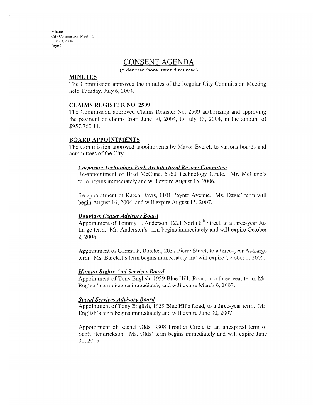# **CONSENT AGENDA**

(\* denotes those items discussed)

#### **MINUTES**

The Commission approved the minutes of the Regular City Commission Meeting held Tuesday, July 6, 2004.

#### **CLAIMS REGISTER NO. 2509**

The Commission approved Claims Register No. 2509 authorizing and approving the payment of claims from June 30, 2004, to July 13, 2004, in the amount of \$957,760.11.

#### **BOARD APPOINTMENTS**

The Commission approved appointments by Mayor Everett to various boards and committees of the City.

#### Corporate Technology Park Architectural Review Committee

Re-appointment of Brad McCune, 5960 Technology Circle. Mr. McCune's term begins immediately and will expire August 15, 2006.

Re-appointment of Karen Davis, 1101 Poyntz Avenue. Ms. Davis' term will begin August 16, 2004, and will expire August 15, 2007.

#### **Douglass Center Advisory Board**

Appointment of Tommy L. Anderson, 1221 North 8<sup>th</sup> Street, to a three-year At-Large term. Mr. Anderson's term begins immediately and will expire October 2, 2006.

Appointment of Glenna F. Burckel, 2031 Pierre Street, to a three-year At-Large term. Ms. Burckel's term begins immediately and will expire October 2, 2006.

#### **Human Rights And Services Board**

Appointment of Tony English, 1929 Blue Hills Road, to a three-year term. Mr. English's term begins immediately and will expire March 9, 2007.

#### **Social Services Advisory Board**

Appointment of Tony English, 1929 Blue Hills Road, to a three-year term. Mr. English's term begins immediately and will expire June 30, 2007.

Appointment of Rachel Olds, 3308 Frontier Circle to an unexpired term of Scott Hendrickson. Ms. Olds' term begins immediately and will expire June 30, 2005.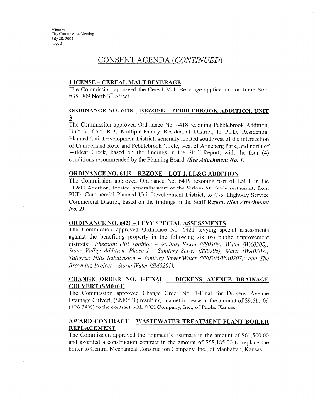# CONSENT AGENDA (CONTINUED)

#### **LICENSE - CEREAL MALT BEVERAGE**

The Commission approved the Cereal Malt Beverage application for Jump Start #35, 809 North  $3<sup>rd</sup>$  Street.

#### **ORDINANCE NO. 6418 - REZONE - PEBBLEBROOK ADDITION, UNIT** 3.

The Commission approved Ordinance No. 6418 rezoning Pebblebrook Addition, Unit 3, from R-3, Multiple-Family Residential District, to PUD, Residential Planned Unit Development District, generally located southwest of the intersection of Cumberland Road and Pebblebrook Circle, west of Anneberg Park, and north of Wildcat Creek, based on the findings in the Staff Report, with the four (4) conditions recommended by the Planning Board. (See Attachment No. 1)

#### **ORDINANCE NO. 6419 - REZONE - LOT 1, LL&G ADDITION**

The Commission approved Ordinance No. 6419 rezoning part of Lot 1 in the LL&G Addition, located generally west of the Sirloin Stockade restaurant, from PUD, Commercial Planned Unit Development District, to C-5, Highway Service Commercial District, based on the findings in the Staff Report. (See Attachment  $No. 2)$ 

#### **ORDINANCE NO. 6421 - LEVY SPECIAL ASSESSMENTS**

The Commission approved Ordinance No. 6421 levying special assessments against the benefiting property in the following six (6) public improvement districts: Pheasant Hill Addition – Sanitary Sewer (SS0308), Water (WA0308); Stone Valley Addition, Phase  $I$  – Sanitary Sewer (SS0306), Water (WA0307); Tatarrax Hills Subdivision - Sanitary Sewer/Water (SS0205/WA0207); and The Browning Project – Storm Water (SM0201).

#### CHANGE ORDER NO. 1-FINAL - DICKENS AVENUE DRAINAGE **CULVERT (SM0401)**

The Commission approved Change Order No. 1-Final for Dickens Avenue Drainage Culvert, (SM0401) resulting in a net increase in the amount of \$9.611.09 (+26.34%) to the contract with WCI Company, Inc., of Paola, Kansas.

#### AWARD CONTRACT - WASTEWATER TREATMENT PLANT BOILER **REPLACEMENT**

The Commission approved the Engineer's Estimate in the amount of \$61,500.00 and awarded a construction contract in the amount of \$58,185.00 to replace the boiler to Central Mechanical Construction Company, Inc., of Manhattan, Kansas.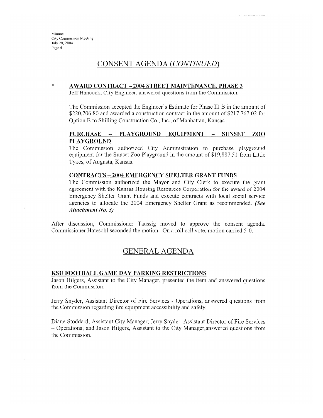$\ast$ 

# CONSENT AGENDA (CONTINUED)

#### **AWARD CONTRACT - 2004 STREET MAINTENANCE, PHASE 3**

Jeff Hancock, City Engineer, answered questions from the Commission.

The Commission accepted the Engineer's Estimate for Phase III B in the amount of \$220,706.80 and awarded a construction contract in the amount of \$217,767.02 for Option B to Shilling Construction Co., Inc., of Manhattan, Kansas.

#### **PURCHASE** PLAYGROUND EQUIPMENT **SUNSET**  $\overline{\phantom{0}}$  $\frac{1}{2}$ ZOO **PLAYGROUND**

The Commission authorized City Administration to purchase playground equipment for the Sunset Zoo Playground in the amount of \$19,887.51 from Little Tykes, of Augusta, Kansas.

#### **CONTRACTS - 2004 EMERGENCY SHELTER GRANT FUNDS**

The Commission authorized the Mayor and City Clerk to execute the grant agreement with the Kansas Housing Resources Corporation for the award of 2004 Emergency Shelter Grant Funds and execute contracts with local social service agencies to allocate the 2004 Emergency Shelter Grant as recommended. (See **Attachment No. 3)** 

After discussion, Commissioner Taussig moved to approve the consent agenda. Commissioner Hatesohl seconded the motion. On a roll call vote, motion carried 5-0.

# **GENERAL AGENDA**

#### KSU FOOTBALL GAME DAY PARKING RESTRICTIONS

Jason Hilgers, Assistant to the City Manager, presented the item and answered questions from the Commission.

Jerry Snyder, Assistant Director of Fire Services - Operations, answered questions from the Commission regarding fire equipment accessibility and safety.

Diane Stoddard, Assistant City Manager; Jerry Snyder, Assistant Director of Fire Services - Operations; and Jason Hilgers, Assistant to the City Manager, answered questions from the Commission.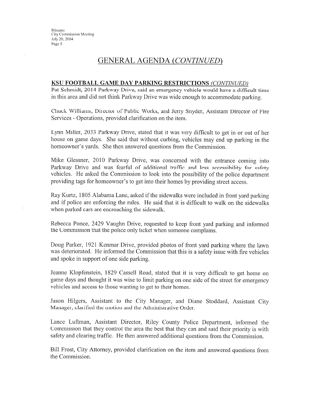# **GENERAL AGENDA (CONTINUED)**

#### KSU FOOTBALL GAME DAY PARKING RESTRICTIONS (CONTINUED)

Pat Schmidt, 2014 Parkway Drive, said an emergency vehicle would have a difficult time in this area and did not think Parkway Drive was wide enough to accommodate parking.

Chuck Williams, Director of Public Works, and Jerry Snyder, Assistant Director of Fire Services - Operations, provided clarification on the item.

Lynn Miller, 2033 Parkway Drive, stated that it was very difficult to get in or out of her house on game days. She said that without curbing, vehicles may end up parking in the homeowner's yards. She then answered questions from the Commission.

Mike Glessner, 2010 Parkway Drive, was concerned with the entrance coming into Parkway Drive and was fearful of additional traffic and less accessibility for safety vehicles. He asked the Commission to look into the possibility of the police department providing tags for homeowner's to get into their homes by providing street access.

Ray Kurtz, 1805 Alabama Lane, asked if the sidewalks were included in front yard parking and if police are enforcing the rules. He said that it is difficult to walk on the sidewalks when parked cars are encroaching the sidewalk.

Rebecca Ponce, 2429 Vaughn Drive, requested to keep front yard parking and informed the Commission that the police only ticket when someone complains.

Doug Parker, 1921 Kenmar Drive, provided photos of front yard parking where the lawn was deteriorated. He informed the Commission that this is a safety issue with fire vehicles and spoke in support of one side parking.

Jeanne Klopfenstein, 1829 Cassell Road, stated that it is very difficult to get home on game days and thought it was wise to limit parking on one side of the street for emergency vehicles and access to those wanting to get to their homes.

Jason Hilgers, Assistant to the City Manager, and Diane Stoddard, Assistant City Manager, clarified the motion and the Administrative Order.

Lance Luftman, Assistant Director, Riley County Police Department, informed the Commission that they control the area the best that they can and said their priority is with safety and clearing traffic. He then answered additional questions from the Commission.

Bill Frost, City Attorney, provided clarification on the item and answered questions from the Commission.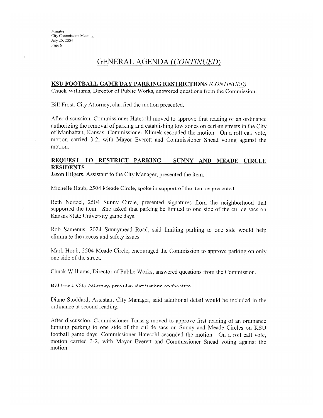# **GENERAL AGENDA (CONTINUED)**

#### KSU FOOTBALL GAME DAY PARKING RESTRICTIONS (CONTINUED)

Chuck Williams, Director of Public Works, answered questions from the Commission.

Bill Frost, City Attorney, clarified the motion presented.

After discussion, Commissioner Hatesohl moved to approve first reading of an ordinance authorizing the removal of parking and establishing tow zones on certain streets in the City of Manhattan, Kansas. Commissioner Klimek seconded the motion. On a roll call vote, motion carried 3-2, with Mayor Everett and Commissioner Snead voting against the motion.

#### REQUEST TO RESTRICT PARKING - SUNNY AND MEADE CIRCLE **RESIDENTS**

Jason Hilgers, Assistant to the City Manager, presented the item.

Michelle Haub, 2504 Meade Circle, spoke in support of the item as presented.

Beth Neitzel, 2504 Sunny Circle, presented signatures from the neighborhood that supported the item. She asked that parking be limited to one side of the cul de sacs on Kansas State University game days.

Rob Samenus, 2024 Sunnymead Road, said limiting parking to one side would help eliminate the access and safety issues.

Mark Houb, 2504 Meade Circle, encouraged the Commission to approve parking on only one side of the street.

Chuck Williams, Director of Public Works, answered questions from the Commission.

Bill Frost, City Attorney, provided clarification on the item.

Diane Stoddard, Assistant City Manager, said additional detail would be included in the ordinance at second reading.

After discussion, Commissioner Taussig moved to approve first reading of an ordinance limiting parking to one side of the cul de sacs on Sunny and Meade Circles on KSU football game days. Commissioner Hatesohl seconded the motion. On a roll call vote, motion carried 3-2, with Mayor Everett and Commissioner Snead voting against the motion.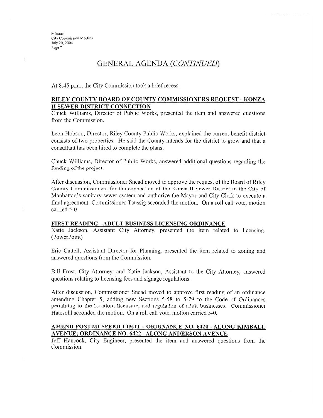# GENERAL AGENDA (CONTINUED)

At 8:45 p.m., the City Commission took a brief recess.

#### RILEY COUNTY BOARD OF COUNTY COMMISSIONERS REQUEST - KONZA **II SEWER DISTRICT CONNECTION**

Chuck Williams, Director of Public Works, presented the item and answered questions from the Commission.

Leon Hobson, Director, Riley County Public Works, explained the current benefit district consists of two properties. He said the County intends for the district to grow and that a consultant has been hired to complete the plans.

Chuck Williams, Director of Public Works, answered additional questions regarding the funding of the project.

After discussion, Commissioner Snead moved to approve the request of the Board of Riley County Commissioners for the connection of the Konza II Sewer District to the City of Manhattan's sanitary sewer system and authorize the Mayor and City Clerk to execute a final agreement. Commissioner Taussig seconded the motion. On a roll call vote, motion carried 5-0.

#### FIRST READING - ADULT BUSINESS LICENSING ORDINANCE

Katie Jackson, Assistant City Attorney, presented the item related to licensing. (PowerPoint)

Eric Cattell, Assistant Director for Planning, presented the item related to zoning and answered questions from the Commission.

Bill Frost, City Attorney, and Katie Jackson, Assistant to the City Attorney, answered questions relating to licensing fees and signage regulations.

After discussion, Commissioner Snead moved to approve first reading of an ordinance amending Chapter 5, adding new Sections 5-58 to 5-79 to the Code of Ordinances pertaining to the location, licensure, and regulation of adult businesses. Commissioner Hatesohl seconded the motion. On a roll call vote, motion carried 5-0.

#### AMEND POSTED SPEED LIMIT - ORDINANCE NO. 6420 -ALONG KIMBALL **AVENUE; ORDINANCE NO. 6422-ALONG ANDERSON AVENUE**

Jeff Hancock, City Engineer, presented the item and answered questions from the Commission.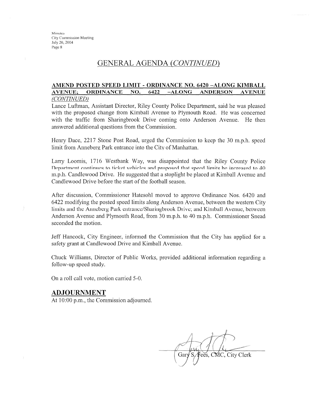# GENERAL AGENDA (CONTINUED)

#### AMEND POSTED SPEED LIMIT - ORDINANCE NO. 6420 -ALONG KIMBALL **AVENUE; ORDINANCE** NO. 6422  $-ALONG$ **ANDERSON AVENUE**

#### (CONTINUED)

Lance Luftman, Assistant Director, Riley County Police Department, said he was pleased with the proposed change from Kimball Avenue to Plymouth Road. He was concerned with the traffic from Sharingbrook Drive coming onto Anderson Avenue. He then answered additional questions from the Commission.

Henry Dace, 2217 Stone Post Road, urged the Commission to keep the 30 m.p.h. speed limit from Anneberg Park entrance into the City of Manhattan.

Larry Loomis, 1716 Westbank Way, was disappointed that the Riley County Police Department continues to ticket vehicles and proposed that speed limits be increased to 40 m.p.h. Candlewood Drive. He suggested that a stoplight be placed at Kimball Avenue and Candlewood Drive before the start of the football season.

After discussion, Commissioner Hatesohl moved to approve Ordinance Nos. 6420 and 6422 modifying the posted speed limits along Anderson Avenue, between the western City limits and the Anneberg Park entrance/Sharingbrook Drive; and Kimball Avenue, between Anderson Avenue and Plymouth Road, from 30 m.p.h. to 40 m.p.h. Commissioner Snead seconded the motion.

Jeff Hancock, City Engineer, informed the Commission that the City has applied for a safety grant at Candlewood Drive and Kimball Avenue.

Chuck Williams, Director of Public Works, provided additional information regarding a follow-up speed study.

On a roll call vote, motion carried 5-0.

### **ADJOURNMENT**

At 10:00 p.m., the Commission adjourned.

ees, CMC, City Clerk Gary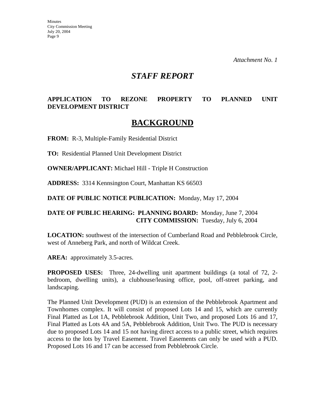*Attachment No. 1* 

# *STAFF REPORT*

# **APPLICATION TO REZONE PROPERTY TO PLANNED UNIT DEVELOPMENT DISTRICT**

# **BACKGROUND**

**FROM:** R-3, Multiple-Family Residential District

**TO:** Residential Planned Unit Development District

**OWNER/APPLICANT:** Michael Hill - Triple H Construction

**ADDRESS:** 3314 Kennsington Court, Manhattan KS 66503

**DATE OF PUBLIC NOTICE PUBLICATION:** Monday, May 17, 2004

### **DATE OF PUBLIC HEARING: PLANNING BOARD:** Monday, June 7, 2004 **CITY COMMISSION:** Tuesday, July 6, 2004

**LOCATION:** southwest of the intersection of Cumberland Road and Pebblebrook Circle, west of Anneberg Park, and north of Wildcat Creek.

AREA: approximately 3.5-acres.

**PROPOSED USES:** Three, 24-dwelling unit apartment buildings (a total of 72, 2 bedroom, dwelling units), a clubhouse/leasing office, pool, off-street parking, and landscaping.

The Planned Unit Development (PUD) is an extension of the Pebblebrook Apartment and Townhomes complex. It will consist of proposed Lots 14 and 15, which are currently Final Platted as Lot 1A, Pebblebrook Addition, Unit Two, and proposed Lots 16 and 17, Final Platted as Lots 4A and 5A, Pebblebrook Addition, Unit Two. The PUD is necessary due to proposed Lots 14 and 15 not having direct access to a public street, which requires access to the lots by Travel Easement. Travel Easements can only be used with a PUD. Proposed Lots 16 and 17 can be accessed from Pebblebrook Circle.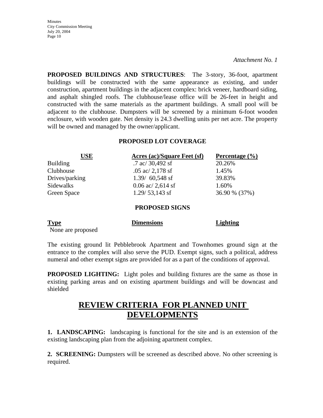*Attachment No. 1* 

**PROPOSED BUILDINGS AND STRUCTURES**: The 3-story, 36-foot, apartment buildings will be constructed with the same appearance as existing, and under construction, apartment buildings in the adjacent complex: brick veneer, hardboard siding, and asphalt shingled roofs. The clubhouse/lease office will be 26-feet in height and constructed with the same materials as the apartment buildings. A small pool will be adjacent to the clubhouse. Dumpsters will be screened by a minimum 6-foot wooden enclosure, with wooden gate. Net density is 24.3 dwelling units per net acre. The property will be owned and managed by the owner/applicant.

### **PROPOSED LOT COVERAGE**

| <b>USE</b>       | Acres (ac)/Square Feet (sf) | Percentage $(\% )$ |  |
|------------------|-----------------------------|--------------------|--|
| <b>Building</b>  | .7 ac/ $30,492$ sf          | 20.26%             |  |
| Clubhouse        | .05 ac/ $2,178$ sf          | 1.45%              |  |
| Drives/parking   | $1.39/ 60,548$ sf           | 39.83%             |  |
| <b>Sidewalks</b> | $0.06$ ac/ 2,614 sf         | 1.60%              |  |
| Green Space      | $1.29/53,143$ sf            | 36.90 % (37%)      |  |
|                  | <b>PROPOSED SIGNS</b>       |                    |  |

| <b>Type</b>       | <b>Dimensions</b> | Lighting |
|-------------------|-------------------|----------|
| None are proposed |                   |          |

The existing ground lit Pebblebrook Apartment and Townhomes ground sign at the entrance to the complex will also serve the PUD. Exempt signs, such a political, address numeral and other exempt signs are provided for as a part of the conditions of approval.

**PROPOSED LIGHTING:** Light poles and building fixtures are the same as those in existing parking areas and on existing apartment buildings and will be downcast and shielded

# **REVIEW CRITERIA FOR PLANNED UNIT DEVELOPMENTS**

**1. LANDSCAPING:** landscaping is functional for the site and is an extension of the existing landscaping plan from the adjoining apartment complex.

**2. SCREENING:** Dumpsters will be screened as described above. No other screening is required.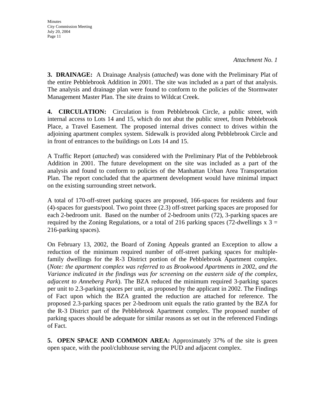**3. DRAINAGE:** A Drainage Analysis (*attached*) was done with the Preliminary Plat of the entire Pebblebrook Addition in 2001. The site was included as a part of that analysis. The analysis and drainage plan were found to conform to the policies of the Stormwater Management Master Plan. The site drains to Wildcat Creek.

**4. CIRCULATION:** Circulation is from Pebblebrook Circle, a public street, with internal access to Lots 14 and 15, which do not abut the public street, from Pebblebrook Place, a Travel Easement. The proposed internal drives connect to drives within the adjoining apartment complex system. Sidewalk is provided along Pebblebrook Circle and in front of entrances to the buildings on Lots 14 and 15.

A Traffic Report (*attached*) was considered with the Preliminary Plat of the Pebblebrook Addition in 2001. The future development on the site was included as a part of the analysis and found to conform to policies of the Manhattan Urban Area Transportation Plan. The report concluded that the apartment development would have minimal impact on the existing surrounding street network.

A total of 170-off-street parking spaces are proposed, 166-spaces for residents and four (4)-spaces for guests/pool. Two point three (2.3) off-street parking spaces are proposed for each 2-bedroom unit. Based on the number of 2-bedroom units (72), 3-parking spaces are required by the Zoning Regulations, or a total of 216 parking spaces (72-dwellings  $x = 3$ 216-parking spaces).

On February 13, 2002, the Board of Zoning Appeals granted an Exception to allow a reduction of the minimum required number of off-street parking spaces for multiplefamily dwellings for the R-3 District portion of the Pebblebrook Apartment complex. (*Note: the apartment complex was referred to as Brookwood Apartments in 200*2, *and the Variance indicated in the findings was for screening on the eastern side of the complex, adjacent to Anneberg Park*). The BZA reduced the minimum required 3-parking spaces per unit to 2.3-parking spaces per unit, as proposed by the applicant in 2002. The Findings of Fact upon which the BZA granted the reduction are attached for reference. The proposed 2.3-parking spaces per 2-bedroom unit equals the ratio granted by the BZA for the R-3 District part of the Pebblebrook Apartment complex. The proposed number of parking spaces should be adequate for similar reasons as set out in the referenced Findings of Fact.

**5. OPEN SPACE AND COMMON AREA:** Approximately 37% of the site is green open space, with the pool/clubhouse serving the PUD and adjacent complex.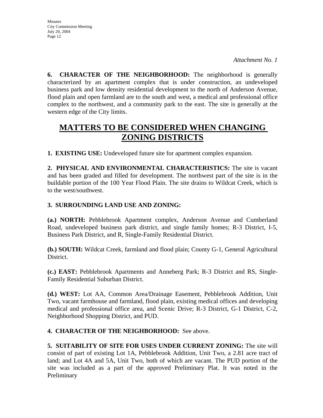**6. CHARACTER OF THE NEIGHBORHOOD:** The neighborhood is generally characterized by an apartment complex that is under construction, an undeveloped business park and low density residential development to the north of Anderson Avenue, flood plain and open farmland are to the south and west, a medical and professional office complex to the northwest, and a community park to the east. The site is generally at the western edge of the City limits.

# **MATTERS TO BE CONSIDERED WHEN CHANGING ZONING DISTRICTS**

**1. EXISTING USE:** Undeveloped future site for apartment complex expansion.

**2. PHYSICAL AND ENVIRONMENTAL CHARACTERISTICS:** The site is vacant and has been graded and filled for development. The northwest part of the site is in the buildable portion of the 100 Year Flood Plain. The site drains to Wildcat Creek, which is to the west/southwest.

# **3. SURROUNDING LAND USE AND ZONING:**

**(a.) NORTH:** Pebblebrook Apartment complex, Anderson Avenue and Cumberland Road, undeveloped business park district, and single family homes; R-3 District, I-5, Business Park District, and R, Single-Family Residential District.

**(b.) SOUTH:** Wildcat Creek, farmland and flood plain; County G-1, General Agricultural District.

**(c.) EAST:** Pebblebrook Apartments and Anneberg Park; R-3 District and RS, Single-Family Residential Suburban District.

**(d.) WEST:** Lot AA, Common Area/Drainage Easement, Pebblebrook Addition, Unit Two, vacant farmhouse and farmland, flood plain, existing medical offices and developing medical and professional office area, and Scenic Drive; R-3 District, G-1 District, C-2, Neighborhood Shopping District, and PUD.

**4. CHARACTER OF THE NEIGHBORHOOD:** See above.

**5. SUITABILITY OF SITE FOR USES UNDER CURRENT ZONING:** The site will consist of part of existing Lot 1A, Pebblebrook Addition, Unit Two, a 2.81 acre tract of land; and Lot 4A and 5A, Unit Two, both of which are vacant. The PUD portion of the site was included as a part of the approved Preliminary Plat. It was noted in the Preliminary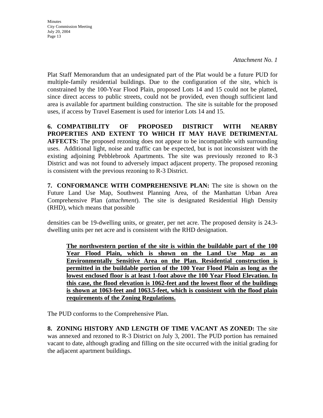*Attachment No. 1* 

Plat Staff Memorandum that an undesignated part of the Plat would be a future PUD for multiple-family residential buildings. Due to the configuration of the site, which is constrained by the 100-Year Flood Plain, proposed Lots 14 and 15 could not be platted, since direct access to public streets, could not be provided, even though sufficient land area is available for apartment building construction. The site is suitable for the proposed uses, if access by Travel Easement is used for interior Lots 14 and 15.

**6. COMPATIBILITY OF PROPOSED DISTRICT WITH NEARBY PROPERTIES AND EXTENT TO WHICH IT MAY HAVE DETRIMENTAL AFFECTS:** The proposed rezoning does not appear to be incompatible with surrounding uses. Additional light, noise and traffic can be expected, but is not inconsistent with the existing adjoining Pebblebrook Apartments. The site was previously rezoned to R-3 District and was not found to adversely impact adjacent property. The proposed rezoning is consistent with the previous rezoning to R-3 District.

**7. CONFORMANCE WITH COMPREHENSIVE PLAN:** The site is shown on the Future Land Use Map, Southwest Planning Area, of the Manhattan Urban Area Comprehensive Plan (*attachment*). The site is designated Residential High Density (RHD), which means that possible

densities can be 19-dwelling units, or greater, per net acre. The proposed density is 24.3 dwelling units per net acre and is consistent with the RHD designation.

**The northwestern portion of the site is within the buildable part of the 100 Year Flood Plain, which is shown on the Land Use Map as an Environmentally Sensitive Area on the Plan. Residential construction is permitted in the buildable portion of the 100 Year Flood Plain as long as the lowest enclosed floor is at least 1-foot above the 100 Year Flood Elevation. In this case, the flood elevation is 1062-feet and the lowest floor of the buildings is shown at 1063-feet and 1063.5-feet, which is consistent with the flood plain requirements of the Zoning Regulations.**

The PUD conforms to the Comprehensive Plan.

**8. ZONING HISTORY AND LENGTH OF TIME VACANT AS ZONED:** The site was annexed and rezoned to R-3 District on July 3, 2001. The PUD portion has remained vacant to date, although grading and filling on the site occurred with the initial grading for the adjacent apartment buildings.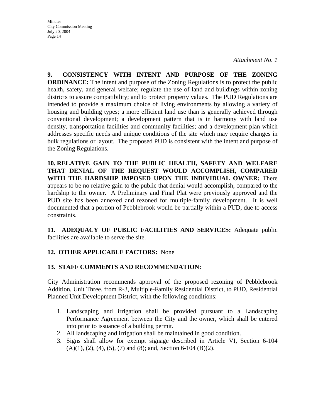*Attachment No. 1* 

**9. CONSISTENCY WITH INTENT AND PURPOSE OF THE ZONING ORDINANCE:** The intent and purpose of the Zoning Regulations is to protect the public health, safety, and general welfare; regulate the use of land and buildings within zoning districts to assure compatibility; and to protect property values. The PUD Regulations are intended to provide a maximum choice of living environments by allowing a variety of housing and building types; a more efficient land use than is generally achieved through conventional development; a development pattern that is in harmony with land use density, transportation facilities and community facilities; and a development plan which addresses specific needs and unique conditions of the site which may require changes in bulk regulations or layout. The proposed PUD is consistent with the intent and purpose of the Zoning Regulations.

**10. RELATIVE GAIN TO THE PUBLIC HEALTH, SAFETY AND WELFARE THAT DENIAL OF THE REQUEST WOULD ACCOMPLISH, COMPARED WITH THE HARDSHIP IMPOSED UPON THE INDIVIDUAL OWNER:** There appears to be no relative gain to the public that denial would accomplish, compared to the hardship to the owner. A Preliminary and Final Plat were previously approved and the PUD site has been annexed and rezoned for multiple-family development. It is well documented that a portion of Pebblebrook would be partially within a PUD, due to access constraints.

**11. ADEQUACY OF PUBLIC FACILITIES AND SERVICES:** Adequate public facilities are available to serve the site.

# **12. OTHER APPLICABLE FACTORS:** None

# **13. STAFF COMMENTS AND RECOMMENDATION:**

City Administration recommends approval of the proposed rezoning of Pebblebrook Addition, Unit Three, from R-3, Multiple-Family Residential District, to PUD, Residential Planned Unit Development District, with the following conditions:

- 1. Landscaping and irrigation shall be provided pursuant to a Landscaping Performance Agreement between the City and the owner, which shall be entered into prior to issuance of a building permit.
- 2. All landscaping and irrigation shall be maintained in good condition.
- 3. Signs shall allow for exempt signage described in Article VI, Section 6-104  $(A)(1), (2), (4), (5), (7)$  and  $(8)$ ; and, Section 6-104 (B)(2).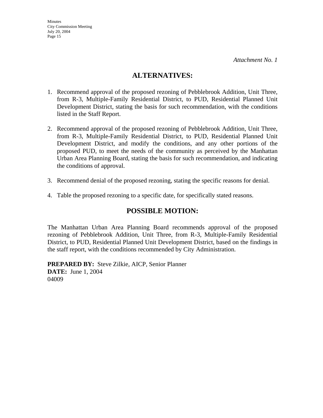# **ALTERNATIVES:**

- 1. Recommend approval of the proposed rezoning of Pebblebrook Addition, Unit Three, from R-3, Multiple-Family Residential District, to PUD, Residential Planned Unit Development District, stating the basis for such recommendation, with the conditions listed in the Staff Report.
- 2. Recommend approval of the proposed rezoning of Pebblebrook Addition, Unit Three, from R-3, Multiple-Family Residential District, to PUD, Residential Planned Unit Development District, and modify the conditions, and any other portions of the proposed PUD, to meet the needs of the community as perceived by the Manhattan Urban Area Planning Board, stating the basis for such recommendation, and indicating the conditions of approval.
- 3. Recommend denial of the proposed rezoning, stating the specific reasons for denial.
- 4. Table the proposed rezoning to a specific date, for specifically stated reasons.

# **POSSIBLE MOTION:**

The Manhattan Urban Area Planning Board recommends approval of the proposed rezoning of Pebblebrook Addition, Unit Three, from R-3, Multiple-Family Residential District, to PUD, Residential Planned Unit Development District, based on the findings in the staff report, with the conditions recommended by City Administration.

**PREPARED BY:** Steve Zilkie, AICP, Senior Planner **DATE:** June 1, 2004 04009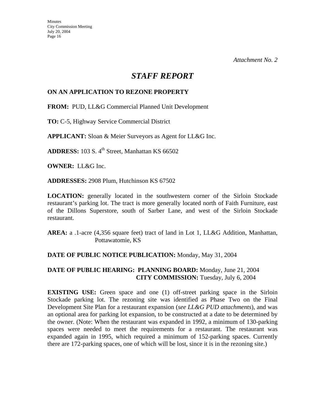# *STAFF REPORT*

# **ON AN APPLICATION TO REZONE PROPERTY**

**FROM:** PUD, LL&G Commercial Planned Unit Development

**TO:** C-5, Highway Service Commercial District

**APPLICANT:** Sloan & Meier Surveyors as Agent for LL&G Inc.

**ADDRESS:** 103 S. 4<sup>th</sup> Street, Manhattan KS 66502

**OWNER:** LL&G Inc.

**ADDRESSES:** 2908 Plum, Hutchinson KS 67502

**LOCATION:** generally located in the southwestern corner of the Sirloin Stockade restaurant's parking lot. The tract is more generally located north of Faith Furniture, east of the Dillons Superstore, south of Sarber Lane, and west of the Sirloin Stockade restaurant.

**AREA:** a .1-acre (4,356 square feet) tract of land in Lot 1, LL&G Addition, Manhattan, Pottawatomie, KS

# **DATE OF PUBLIC NOTICE PUBLICATION:** Monday, May 31, 2004

# **DATE OF PUBLIC HEARING: PLANNING BOARD:** Monday, June 21, 2004 **CITY COMMISSION:** Tuesday, July 6, 2004

**EXISTING USE:** Green space and one (1) off-street parking space in the Sirloin Stockade parking lot. The rezoning site was identified as Phase Two on the Final Development Site Plan for a restaurant expansion (*see LL&G PUD attachments*), and was an optional area for parking lot expansion, to be constructed at a date to be determined by the owner. (Note: When the restaurant was expanded in 1992, a minimum of 130-parking spaces were needed to meet the requirements for a restaurant. The restaurant was expanded again in 1995, which required a minimum of 152-parking spaces. Currently there are 172-parking spaces, one of which will be lost, since it is in the rezoning site.)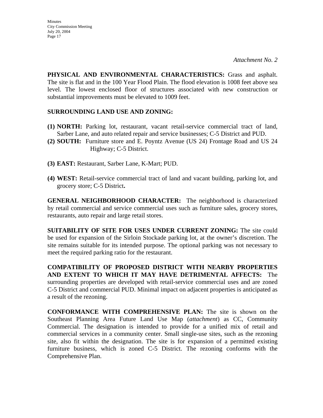**PHYSICAL AND ENVIRONMENTAL CHARACTERISTICS:** Grass and asphalt. The site is flat and in the 100 Year Flood Plain. The flood elevation is 1008 feet above sea level. The lowest enclosed floor of structures associated with new construction or substantial improvements must be elevated to 1009 feet.

# **SURROUNDING LAND USE AND ZONING:**

- **(1) NORTH:** Parking lot, restaurant, vacant retail-service commercial tract of land, Sarber Lane, and auto related repair and service businesses; C-5 District and PUD.
- **(2) SOUTH:** Furniture store and E. Poyntz Avenue (US 24) Frontage Road and US 24 Highway; C-5 District.
- **(3) EAST:** Restaurant, Sarber Lane, K-Mart; PUD.
- **(4) WEST:** Retail-service commercial tract of land and vacant building, parking lot, and grocery store; C-5 District**.**

**GENERAL NEIGHBORHOOD CHARACTER:** The neighborhood is characterized by retail commercial and service commercial uses such as furniture sales, grocery stores, restaurants, auto repair and large retail stores.

**SUITABILITY OF SITE FOR USES UNDER CURRENT ZONING:** The site could be used for expansion of the Sirloin Stockade parking lot, at the owner's discretion. The site remains suitable for its intended purpose. The optional parking was not necessary to meet the required parking ratio for the restaurant.

**COMPATIBILITY OF PROPOSED DISTRICT WITH NEARBY PROPERTIES AND EXTENT TO WHICH IT MAY HAVE DETRIMENTAL AFFECTS:** The surrounding properties are developed with retail-service commercial uses and are zoned C-5 District and commercial PUD. Minimal impact on adjacent properties is anticipated as a result of the rezoning.

**CONFORMANCE WITH COMPREHENSIVE PLAN:** The site is shown on the Southeast Planning Area Future Land Use Map (*attachment*) as CC, Community Commercial. The designation is intended to provide for a unified mix of retail and commercial services in a community center. Small single-use sites, such as the rezoning site, also fit within the designation. The site is for expansion of a permitted existing furniture business, which is zoned C-5 District. The rezoning conforms with the Comprehensive Plan.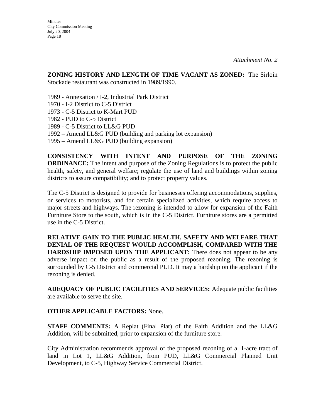**ZONING HISTORY AND LENGTH OF TIME VACANT AS ZONED:** The Sirloin Stockade restaurant was constructed in 1989/1990.

- 1969 Annexation / I-2, Industrial Park District
- 1970 I-2 District to C-5 District
- 1973 C-5 District to K-Mart PUD
- 1982 PUD to C-5 District
- 1989 C-5 District to LL&G PUD
- 1992 Amend LL&G PUD (building and parking lot expansion)
- 1995 Amend LL&G PUD (building expansion)

**CONSISTENCY WITH INTENT AND PURPOSE OF THE ZONING ORDINANCE:** The intent and purpose of the Zoning Regulations is to protect the public health, safety, and general welfare; regulate the use of land and buildings within zoning districts to assure compatibility; and to protect property values.

The C-5 District is designed to provide for businesses offering accommodations, supplies, or services to motorists, and for certain specialized activities, which require access to major streets and highways. The rezoning is intended to allow for expansion of the Faith Furniture Store to the south, which is in the C-5 District. Furniture stores are a permitted use in the C-5 District.

**RELATIVE GAIN TO THE PUBLIC HEALTH, SAFETY AND WELFARE THAT DENIAL OF THE REQUEST WOULD ACCOMPLISH, COMPARED WITH THE HARDSHIP IMPOSED UPON THE APPLICANT:** There does not appear to be any adverse impact on the public as a result of the proposed rezoning. The rezoning is surrounded by C-5 District and commercial PUD. It may a hardship on the applicant if the rezoning is denied.

**ADEQUACY OF PUBLIC FACILITIES AND SERVICES:** Adequate public facilities are available to serve the site.

### **OTHER APPLICABLE FACTORS:** None.

**STAFF COMMENTS:** A Replat (Final Plat) of the Faith Addition and the LL&G Addition, will be submitted, prior to expansion of the furniture store.

City Administration recommends approval of the proposed rezoning of a .1-acre tract of land in Lot 1, LL&G Addition, from PUD, LL&G Commercial Planned Unit Development, to C-5, Highway Service Commercial District.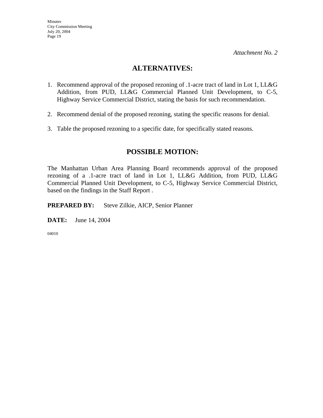# **ALTERNATIVES:**

- 1. Recommend approval of the proposed rezoning of .1-acre tract of land in Lot 1, LL&G Addition, from PUD, LL&G Commercial Planned Unit Development, to C-5, Highway Service Commercial District, stating the basis for such recommendation.
- 2. Recommend denial of the proposed rezoning, stating the specific reasons for denial.
- 3. Table the proposed rezoning to a specific date, for specifically stated reasons.

# **POSSIBLE MOTION:**

The Manhattan Urban Area Planning Board recommends approval of the proposed rezoning of a .1-acre tract of land in Lot 1, LL&G Addition, from PUD, LL&G Commercial Planned Unit Development, to C-5, Highway Service Commercial District, based on the findings in the Staff Report .

**PREPARED BY:** Steve Zilkie, AICP, Senior Planner

**DATE:** June 14, 2004

04010